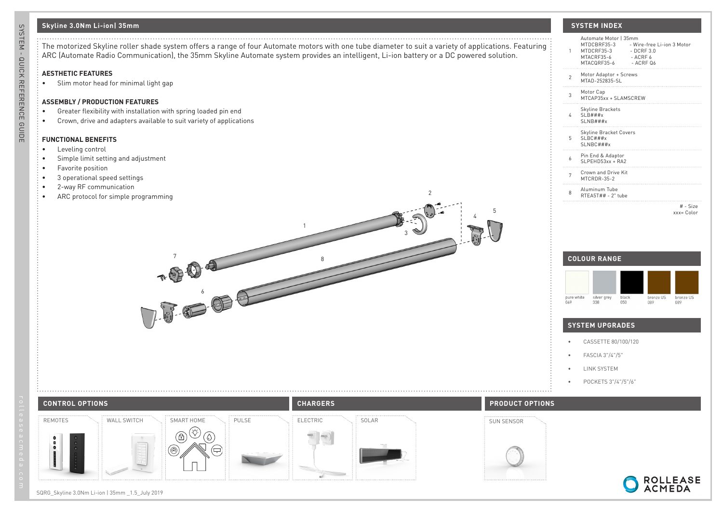# **Skyline 3.0Nm Li-ion| 35mm SYSTEM INDEX**

The motorized Skyline roller shade system offers a range of four Automate motors with one tube diameter to suit a variety of applications. Featuring ARC (Automate Radio Communication), the 35mm Skyline Automate system provides an intelligent, Li-ion battery or a DC powered solution.

1

## **AESTHETIC FEATURES**

• Slim motor head for minimal light gap

### **ASSEMBLY / PRODUCTION FEATURES**

- Greater flexibility with installation with spring loaded pin end
- Crown, drive and adapters available to suit variety of applications

## **FUNCTIONAL BENEFITS**

- Leveling control
- Simple limit setting and adjustment
- Favorite position
- 3 operational speed settings
- 2-way RF communication
- ARC protocol for simple programming

| 1              | Automate Motor   35mm<br>MTDCBRF35-3<br>- Wire-free Li-ion 3 Motor<br>MTDCRF35-3<br>$-$ DCRF 3.0<br>MTACRE35-6<br>$-$ ACRF $6$<br>MTACORF35-6<br>$-$ ACRF $06$ |
|----------------|----------------------------------------------------------------------------------------------------------------------------------------------------------------|
| $\mathfrak{p}$ | Motor Adaptor + Screws<br>MTAD-252835-SL                                                                                                                       |
| 3              | Motor Cap<br>MTCAP35xx + SLAMSCREW                                                                                                                             |
| 4              | <b>Skyline Brackets</b><br>$SLB$ ###x<br>SLNB###x                                                                                                              |
| 5              | Skyline Bracket Covers<br>$SLBC$ ###x<br>SLNBC###x                                                                                                             |
| 6              | Pin End & Adaptor<br>$SLPFHD53xx + R42$                                                                                                                        |
| 7              | Crown and Drive Kit<br>MTCRDR-35-2                                                                                                                             |
| 8              | Aluminum Tube<br>RTEA5T## - 2" tube                                                                                                                            |
|                | $#$ - Size<br>$xxx = Color$                                                                                                                                    |
|                |                                                                                                                                                                |



ROLLEASE<br>ACMEDA

## **SYSTEM UPGRADES**

- CASSETTE 80/100/120
- FASCIA 3"/4"/5"
- LINK SYSTEM

4

5

2

3

• POCKETS 3"/4"/5"/6"



 $\sqrt{8}$ 

6

# SQRG\_Skyline 3.0Nm Li-ion | 35mm \_1.5\_July 2019